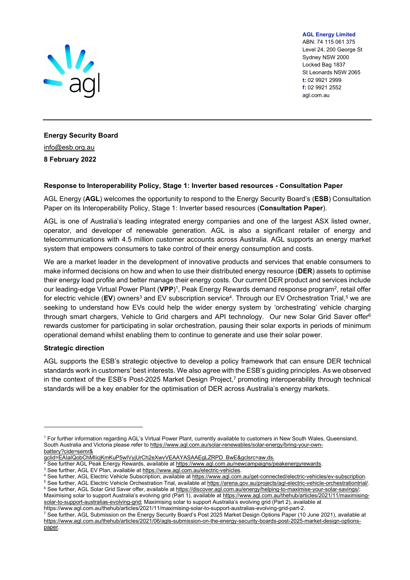

AGL Energy Limited ABN: 74 115 061 375 Level 24, 200 George St Sydney NSW 2000 Locked Bag 1837

St Leonards NSW 2065 t: 02 9921 2999 f: 02 9921 2552 agl.com.au

Energy Security Board info@esb.org.au 8 February 2022

## Response to Interoperability Policy, Stage 1: Inverter based resources - Consultation Paper

AGL Energy (AGL) welcomes the opportunity to respond to the Energy Security Board's (ESB) Consultation Paper on its Interoperability Policy, Stage 1: Inverter based resources (Consultation Paper).

AGL is one of Australia's leading integrated energy companies and one of the largest ASX listed owner, operator, and developer of renewable generation. AGL is also a significant retailer of energy and telecommunications with 4.5 million customer accounts across Australia. AGL supports an energy market system that empowers consumers to take control of their energy consumption and costs.

We are a market leader in the development of innovative products and services that enable consumers to make informed decisions on how and when to use their distributed energy resource (DER) assets to optimise their energy load profile and better manage their energy costs. Our current DER product and services include our leading-edge Virtual Power Plant (**VPP**)<sup>1</sup>, Peak Energy Rewards demand response program<sup>2</sup>, retail offer  $\overline{\phantom{a}}$ for electric vehicle (EV) owners $^3$  and EV subscription service $^4$ . Through our EV Orchestration Trial, $^5$  we are seeking to understand how EVs could help the wider energy system by 'orchestrating' vehicle charging through smart chargers, Vehicle to Grid chargers and API technology. Our new Solar Grid Saver offer<sup>6</sup> rewards customer for participating in solar orchestration, pausing their solar exports in periods of minimum operational demand whilst enabling them to continue to generate and use their solar power.

## Strategic direction

AGL supports the ESB's strategic objective to develop a policy framework that can ensure DER technical standards work in customers' best interests. We also agree with the ESB's guiding principles. As we observed in the context of the ESB's Post-2025 Market Design Project,<sup>7</sup> promoting interoperability through technical standards will be a key enabler for the optimisation of DER across Australia's energy markets.

https://www.agl.com.au/thehub/articles/2021/11/maximising-solar-to-support-australias-evolving-grid-part-2.

<sup>1</sup> For further information regarding AGL's Virtual Power Plant, currently available to customers in New South Wales, Queensland, South Australia and Victoria please refer to https://www.agl.com.au/solar-renewables/solar-energy/bring-your-ownbattery?cide=semr&

gclid=EAIaIQobChMIicjKmKuP5wIVyjUrCh2eXwvVEAAYASAAEgLZRPD\_BwE&gclsrc=aw.ds.<br>2 See further AGL Peak Energy Rewards, available at https://www.agl.com.au/newcampaigns/p

See further AGL Peak Energy Rewards, available at https://www.agl.com.au/newcampaigns/peakenergyrewards.

<sup>&</sup>lt;sup>3</sup> See further, AGL EV Plan, available at https://www.agl.com.au/electric-vehicles.

<sup>&</sup>lt;sup>4</sup> See further, AGL Electric Vehicle Subscription, available at https://www.agl.com.au/get-connected/electric-vehicles/ev-subscription.

<sup>&</sup>lt;sup>5</sup> See further, AGL Electric Vehicle Orchestration Trial, available at https://arena.gov.au/projects/agl-electric-vehicle-orchestrationtrial/. <sup>6</sup> See further, AGL Solar Grid Saver offer, available at https://discover.agl.com.au/energy/helping-to-maximise-your-solar-savings/; Maximising solar to support Australia's evolving grid (Part 1), available at https://www.agl.com.au/thehub/articles/2021/11/maximisingsolar-to-support-australias-evolving-grid; Maximising solar to support Australia's evolving grid (Part 2), available at

<sup>7</sup> See further, AGL Submission on the Energy Security Board's Post 2025 Market Design Options Paper (10 June 2021), available at https://www.agl.com.au/thehub/articles/2021/06/agls-submission-on-the-energy-security-boards-post-2025-market-design-optionspaper.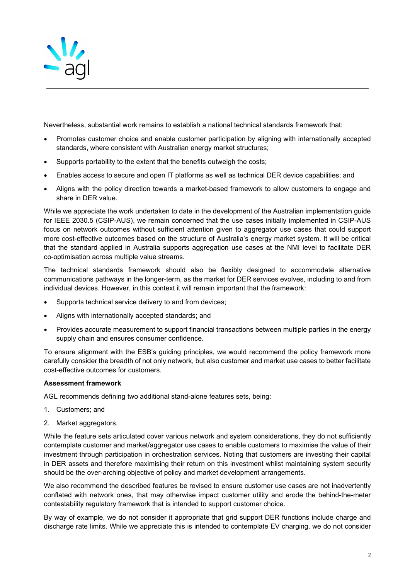

Nevertheless, substantial work remains to establish a national technical standards framework that:

- Promotes customer choice and enable customer participation by aligning with internationally accepted standards, where consistent with Australian energy market structures;
- Supports portability to the extent that the benefits outweigh the costs;
- Enables access to secure and open IT platforms as well as technical DER device capabilities; and
- Aligns with the policy direction towards a market-based framework to allow customers to engage and share in DER value.

While we appreciate the work undertaken to date in the development of the Australian implementation guide for IEEE 2030.5 (CSIP-AUS), we remain concerned that the use cases initially implemented in CSIP-AUS focus on network outcomes without sufficient attention given to aggregator use cases that could support more cost-effective outcomes based on the structure of Australia's energy market system. It will be critical that the standard applied in Australia supports aggregation use cases at the NMI level to facilitate DER co-optimisation across multiple value streams.

The technical standards framework should also be flexibly designed to accommodate alternative communications pathways in the longer-term, as the market for DER services evolves, including to and from individual devices. However, in this context it will remain important that the framework:

- Supports technical service delivery to and from devices;
- Aligns with internationally accepted standards; and
- Provides accurate measurement to support financial transactions between multiple parties in the energy supply chain and ensures consumer confidence.

To ensure alignment with the ESB's guiding principles, we would recommend the policy framework more carefully consider the breadth of not only network, but also customer and market use cases to better facilitate cost-effective outcomes for customers.

## Assessment framework

AGL recommends defining two additional stand-alone features sets, being:

- 1. Customers; and
- 2. Market aggregators.

While the feature sets articulated cover various network and system considerations, they do not sufficiently contemplate customer and market/aggregator use cases to enable customers to maximise the value of their investment through participation in orchestration services. Noting that customers are investing their capital in DER assets and therefore maximising their return on this investment whilst maintaining system security should be the over-arching objective of policy and market development arrangements.

We also recommend the described features be revised to ensure customer use cases are not inadvertently conflated with network ones, that may otherwise impact customer utility and erode the behind-the-meter contestability regulatory framework that is intended to support customer choice.

By way of example, we do not consider it appropriate that grid support DER functions include charge and discharge rate limits. While we appreciate this is intended to contemplate EV charging, we do not consider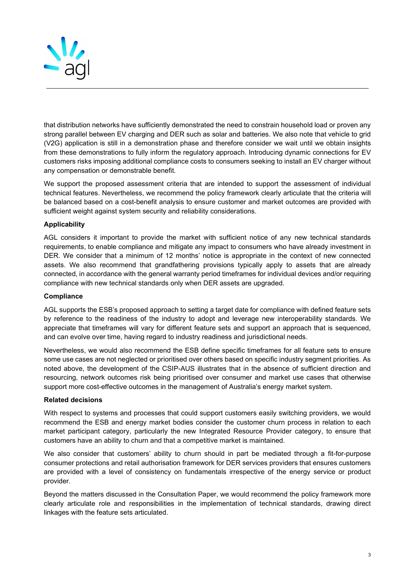

that distribution networks have sufficiently demonstrated the need to constrain household load or proven any strong parallel between EV charging and DER such as solar and batteries. We also note that vehicle to grid (V2G) application is still in a demonstration phase and therefore consider we wait until we obtain insights from these demonstrations to fully inform the regulatory approach. Introducing dynamic connections for EV customers risks imposing additional compliance costs to consumers seeking to install an EV charger without any compensation or demonstrable benefit.

We support the proposed assessment criteria that are intended to support the assessment of individual technical features. Nevertheless, we recommend the policy framework clearly articulate that the criteria will be balanced based on a cost-benefit analysis to ensure customer and market outcomes are provided with sufficient weight against system security and reliability considerations.

# Applicability

AGL considers it important to provide the market with sufficient notice of any new technical standards requirements, to enable compliance and mitigate any impact to consumers who have already investment in DER. We consider that a minimum of 12 months' notice is appropriate in the context of new connected assets. We also recommend that grandfathering provisions typically apply to assets that are already connected, in accordance with the general warranty period timeframes for individual devices and/or requiring compliance with new technical standards only when DER assets are upgraded.

## **Compliance**

AGL supports the ESB's proposed approach to setting a target date for compliance with defined feature sets by reference to the readiness of the industry to adopt and leverage new interoperability standards. We appreciate that timeframes will vary for different feature sets and support an approach that is sequenced, and can evolve over time, having regard to industry readiness and jurisdictional needs.

Nevertheless, we would also recommend the ESB define specific timeframes for all feature sets to ensure some use cases are not neglected or prioritised over others based on specific industry segment priorities. As noted above, the development of the CSIP-AUS illustrates that in the absence of sufficient direction and resourcing, network outcomes risk being prioritised over consumer and market use cases that otherwise support more cost-effective outcomes in the management of Australia's energy market system.

#### Related decisions

With respect to systems and processes that could support customers easily switching providers, we would recommend the ESB and energy market bodies consider the customer churn process in relation to each market participant category, particularly the new Integrated Resource Provider category, to ensure that customers have an ability to churn and that a competitive market is maintained.

We also consider that customers' ability to churn should in part be mediated through a fit-for-purpose consumer protections and retail authorisation framework for DER services providers that ensures customers are provided with a level of consistency on fundamentals irrespective of the energy service or product provider.

Beyond the matters discussed in the Consultation Paper, we would recommend the policy framework more clearly articulate role and responsibilities in the implementation of technical standards, drawing direct linkages with the feature sets articulated.